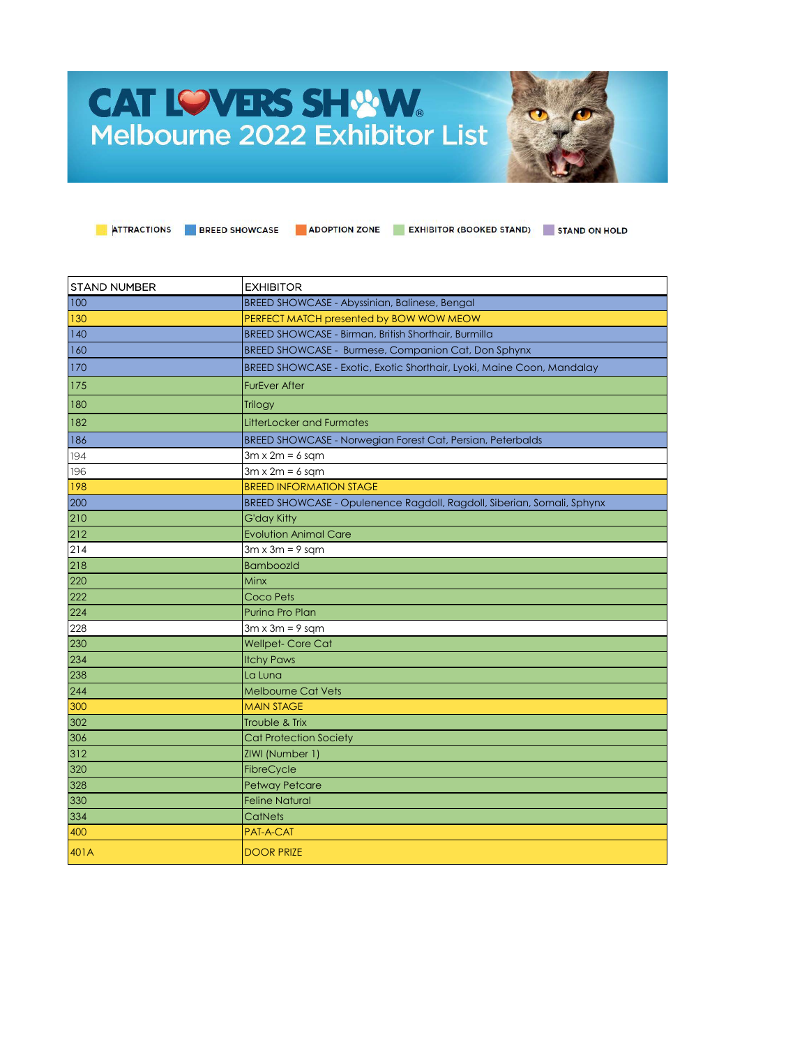## **CAT LOVERS SHWW.** Melbourne 2022 Exhibitor List



| <b>STAND NUMBER</b> | <b>EXHIBITOR</b>                                                       |
|---------------------|------------------------------------------------------------------------|
| 100                 | BREED SHOWCASE - Abyssinian, Balinese, Bengal                          |
| 130                 | PERFECT MATCH presented by BOW WOW MEOW                                |
| 140                 | BREED SHOWCASE - Birman, British Shorthair, Burmilla                   |
| 160                 | BREED SHOWCASE - Burmese, Companion Cat, Don Sphynx                    |
| 170                 | BREED SHOWCASE - Exotic, Exotic Shorthair, Lyoki, Maine Coon, Mandalay |
| 175                 | <b>FurEver After</b>                                                   |
| 180                 | Trilogy                                                                |
| 182                 | <b>LitterLocker and Furmates</b>                                       |
| 186                 | BREED SHOWCASE - Norwegian Forest Cat, Persian, Peterbalds             |
| 194                 | $3m \times 2m = 6$ sqm                                                 |
| 196                 | $3m \times 2m = 6$ sqm                                                 |
| 198                 | <b>BREED INFORMATION STAGE</b>                                         |
| 200                 | BREED SHOWCASE - Opulenence Ragdoll, Ragdoll, Siberian, Somali, Sphynx |
| 210                 | <b>G'day Kitty</b>                                                     |
| 212                 | <b>Evolution Animal Care</b>                                           |
| 214                 | $3m \times 3m = 9$ sqm                                                 |
| 218                 | <b>BamboozId</b>                                                       |
| 220                 | Minx                                                                   |
| 222                 | Coco Pets                                                              |
| 224                 | Purina Pro Plan                                                        |
| 228                 | $3m \times 3m = 9$ sqm                                                 |
| 230                 | <b>Wellpet-Core Cat</b>                                                |
| 234                 | <b>Itchy Paws</b>                                                      |
| 238                 | La Luna                                                                |
| 244                 | <b>Melbourne Cat Vets</b>                                              |
| 300                 | <b>MAIN STAGE</b>                                                      |
| 302                 | Trouble & Trix                                                         |
| 306                 | <b>Cat Protection Society</b>                                          |
| 312                 | ZIWI (Number 1)                                                        |
| 320                 | FibreCycle                                                             |
| 328                 | <b>Petway Petcare</b>                                                  |
| 330                 | <b>Feline Natural</b>                                                  |
| 334                 | <b>CatNets</b>                                                         |
| 400                 | PAT-A-CAT                                                              |
| 401A                | <b>DOOR PRIZE</b>                                                      |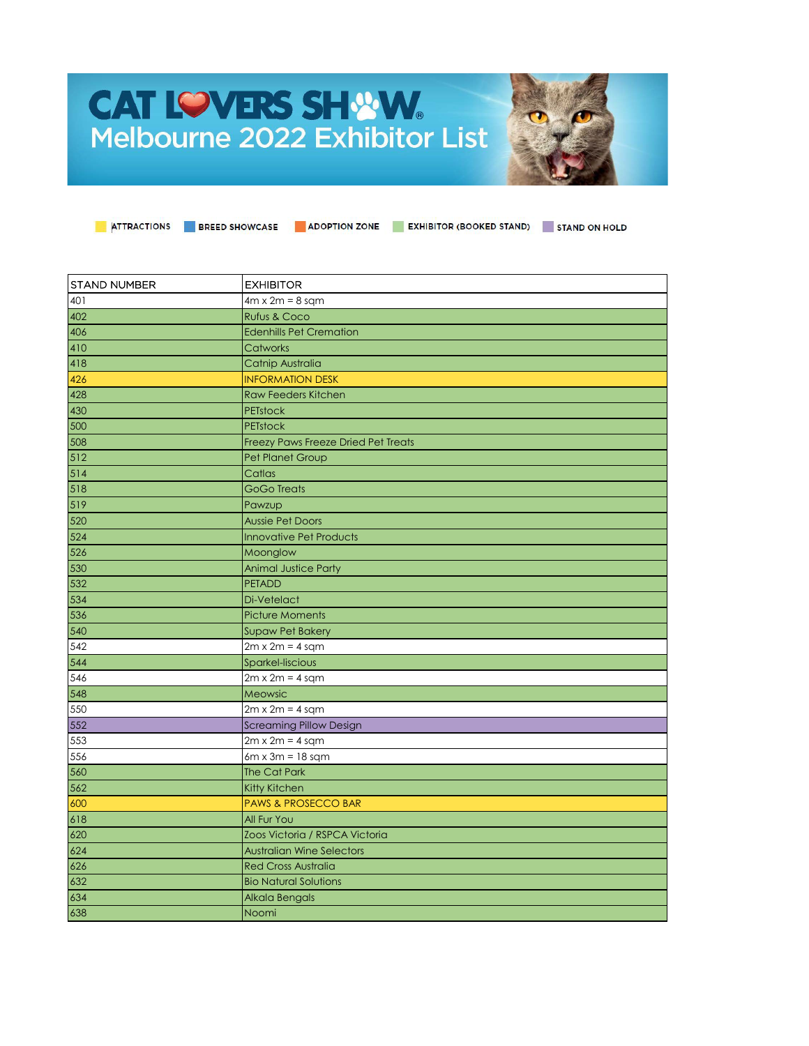## **CAT LOVERS SHWW** Melbourne 2022 Exhibitor List



| STAND NUMBER | <b>EXHIBITOR</b>                    |
|--------------|-------------------------------------|
| 401          | $4m \times 2m = 8$ sam              |
| 402          | <b>Rufus &amp; Coco</b>             |
| 406          | <b>Edenhills Pet Cremation</b>      |
| 410          | Catworks                            |
| 418          | Catnip Australia                    |
| 426          | <b>INFORMATION DESK</b>             |
| 428          | <b>Raw Feeders Kitchen</b>          |
| 430          | <b>PETstock</b>                     |
| 500          | <b>PETstock</b>                     |
| 508          | Freezy Paws Freeze Dried Pet Treats |
| 512          | Pet Planet Group                    |
| 514          | Catlas                              |
| 518          | <b>GoGo Treats</b>                  |
| 519          | Pawzup                              |
| 520          | <b>Aussie Pet Doors</b>             |
| 524          | <b>Innovative Pet Products</b>      |
| 526          | Moonglow                            |
| 530          | <b>Animal Justice Party</b>         |
| 532          | <b>PETADD</b>                       |
| 534          | Di-Vetelact                         |
| 536          | <b>Picture Moments</b>              |
| 540          | <b>Supaw Pet Bakery</b>             |
| 542          | $2m \times 2m = 4$ sqm              |
| 544          | Sparkel-liscious                    |
| 546          | $2m \times 2m = 4$ sqm              |
| 548          | Meowsic                             |
| 550          | $2m \times 2m = 4$ sqm              |
| 552          | <b>Screaming Pillow Design</b>      |
| 553          | $2m \times 2m = 4$ sqm              |
| 556          | $6m \times 3m = 18$ sqm             |
| 560          | <b>The Cat Park</b>                 |
| 562          | Kitty Kitchen                       |
| 600          | <b>PAWS &amp; PROSECCO BAR</b>      |
| 618          | All Fur You                         |
| 620          | Zoos Victoria / RSPCA Victoria      |
| 624          | <b>Australian Wine Selectors</b>    |
| 626          | <b>Red Cross Australia</b>          |
| 632          | <b>Bio Natural Solutions</b>        |
| 634          | Alkala Bengals                      |
| 638          | Noomi                               |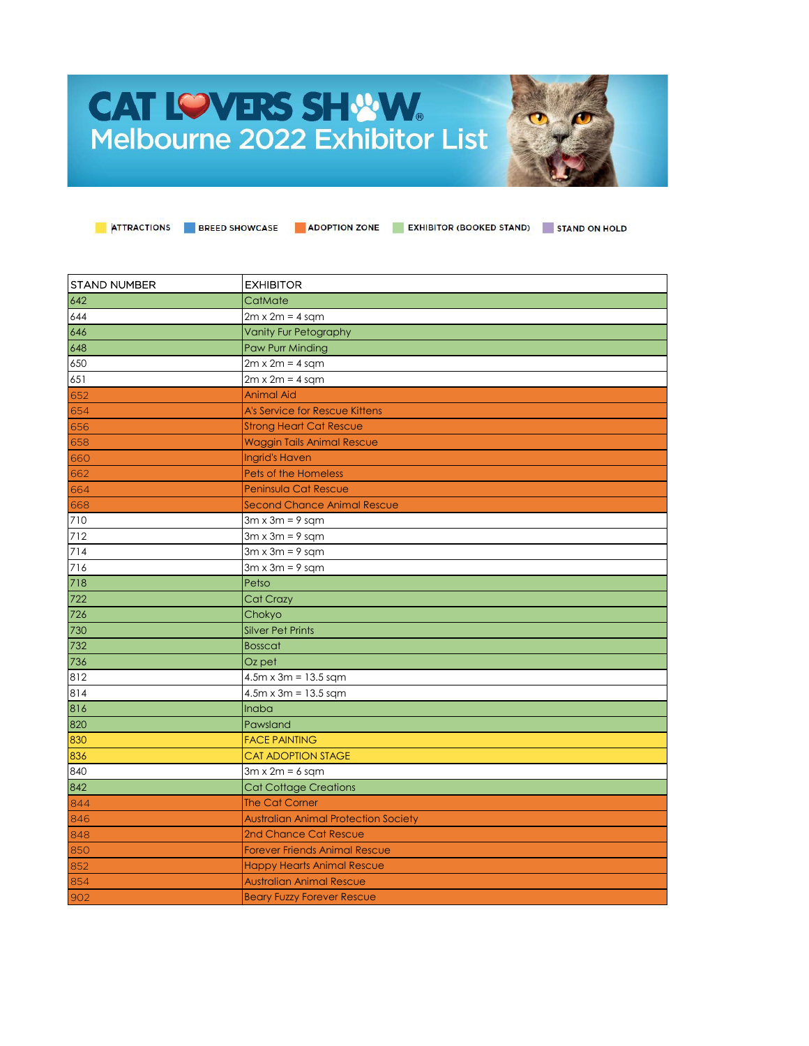## **CAT LOVERS SHWW.**<br>Melbourne 2022 Exhibitor List



| <b>STAND NUMBER</b> | <b>EXHIBITOR</b>                            |
|---------------------|---------------------------------------------|
| 642                 | CatMate                                     |
| 644                 | $2m \times 2m = 4$ sqm                      |
| 646                 | <b>Vanity Fur Petography</b>                |
| 648                 | Paw Purr Minding                            |
| 650                 | $2m \times 2m = 4$ sqm                      |
| 651                 | $2m \times 2m = 4$ sqm                      |
| 652                 | <b>Animal Aid</b>                           |
| 654                 | <b>A's Service for Rescue Kittens</b>       |
| 656                 | <b>Strong Heart Cat Rescue</b>              |
| 658                 | <b>Waggin Tails Animal Rescue</b>           |
| 660                 | <b>Ingrid's Haven</b>                       |
| 662                 | <b>Pets of the Homeless</b>                 |
| 664                 | Peninsula Cat Rescue                        |
| 668                 | Second Chance Animal Rescue                 |
| 710                 | $3m \times 3m = 9$ sqm                      |
| 712                 | $3m \times 3m = 9$ sqm                      |
| 714                 | $3m \times 3m = 9$ sqm                      |
| 716                 | $3m \times 3m = 9$ sqm                      |
| 718                 | Petso                                       |
| 722                 | Cat Crazy                                   |
| 726                 | Chokyo                                      |
| 730                 | <b>Silver Pet Prints</b>                    |
| 732                 | <b>Bosscat</b>                              |
| 736                 | Oz pet                                      |
| 812                 | $4.5m \times 3m = 13.5$ sqm                 |
| 814                 | $4.5m \times 3m = 13.5$ sqm                 |
| 816                 | <b>Inaba</b>                                |
| 820                 | Pawsland                                    |
| 830                 | <b>FACE PAINTING</b>                        |
| 836                 | <b>CAT ADOPTION STAGE</b>                   |
| 840                 | $3m \times 2m = 6$ sqm                      |
| 842                 | <b>Cat Cottage Creations</b>                |
| 844                 | <b>The Cat Corner</b>                       |
| 846                 | <b>Australian Animal Protection Society</b> |
| 848                 | 2nd Chance Cat Rescue                       |
| 850                 | <b>Forever Friends Animal Rescue</b>        |
| 852                 | <b>Happy Hearts Animal Rescue</b>           |
| 854                 | <b>Australian Animal Rescue</b>             |
| 902                 | <b>Beary Fuzzy Forever Rescue</b>           |